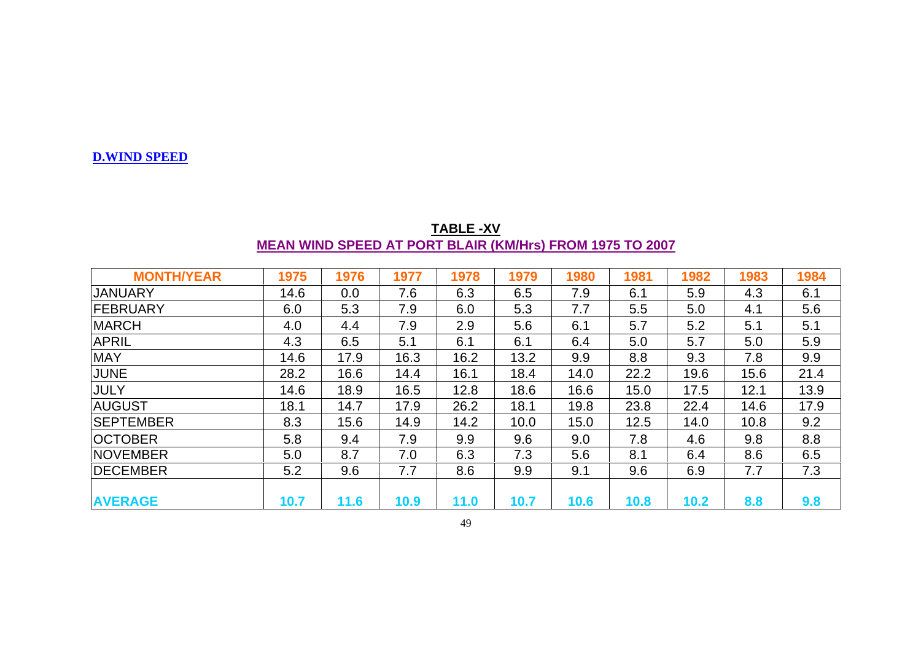## **D.WIND SPEED**

| <b>TABLE-XV</b>                                                 |  |  |  |  |  |  |  |  |
|-----------------------------------------------------------------|--|--|--|--|--|--|--|--|
| <b>MEAN WIND SPEED AT PORT BLAIR (KM/Hrs) FROM 1975 TO 2007</b> |  |  |  |  |  |  |  |  |

| <b>MONTH/YEAR</b> | 1975 | 1976 | 1977 | 1978 | 1979 | 1980 | 1981 | 1982 | 1983 | 1984 |
|-------------------|------|------|------|------|------|------|------|------|------|------|
| <b>JANUARY</b>    | 14.6 | 0.0  | 7.6  | 6.3  | 6.5  | 7.9  | 6.1  | 5.9  | 4.3  | 6.1  |
| <b>FEBRUARY</b>   | 6.0  | 5.3  | 7.9  | 6.0  | 5.3  | 7.7  | 5.5  | 5.0  | 4.1  | 5.6  |
| <b>MARCH</b>      | 4.0  | 4.4  | 7.9  | 2.9  | 5.6  | 6.1  | 5.7  | 5.2  | 5.1  | 5.1  |
| <b>APRIL</b>      | 4.3  | 6.5  | 5.1  | 6.1  | 6.1  | 6.4  | 5.0  | 5.7  | 5.0  | 5.9  |
| <b>MAY</b>        | 14.6 | 17.9 | 16.3 | 16.2 | 13.2 | 9.9  | 8.8  | 9.3  | 7.8  | 9.9  |
| <b>JUNE</b>       | 28.2 | 16.6 | 14.4 | 16.1 | 18.4 | 14.0 | 22.2 | 19.6 | 15.6 | 21.4 |
| <b>JULY</b>       | 14.6 | 18.9 | 16.5 | 12.8 | 18.6 | 16.6 | 15.0 | 17.5 | 12.1 | 13.9 |
| <b>AUGUST</b>     | 18.1 | 14.7 | 17.9 | 26.2 | 18.1 | 19.8 | 23.8 | 22.4 | 14.6 | 17.9 |
| <b>SEPTEMBER</b>  | 8.3  | 15.6 | 14.9 | 14.2 | 10.0 | 15.0 | 12.5 | 14.0 | 10.8 | 9.2  |
| <b>OCTOBER</b>    | 5.8  | 9.4  | 7.9  | 9.9  | 9.6  | 9.0  | 7.8  | 4.6  | 9.8  | 8.8  |
| <b>NOVEMBER</b>   | 5.0  | 8.7  | 7.0  | 6.3  | 7.3  | 5.6  | 8.1  | 6.4  | 8.6  | 6.5  |
| <b>DECEMBER</b>   | 5.2  | 9.6  | 7.7  | 8.6  | 9.9  | 9.1  | 9.6  | 6.9  | 7.7  | 7.3  |
|                   |      |      |      |      |      |      |      |      |      |      |
| <b>AVERAGE</b>    | 10.7 | 11.6 | 10.9 | 11.0 | 10.7 | 10.6 | 10.8 | 10.2 | 8.8  | 9.8  |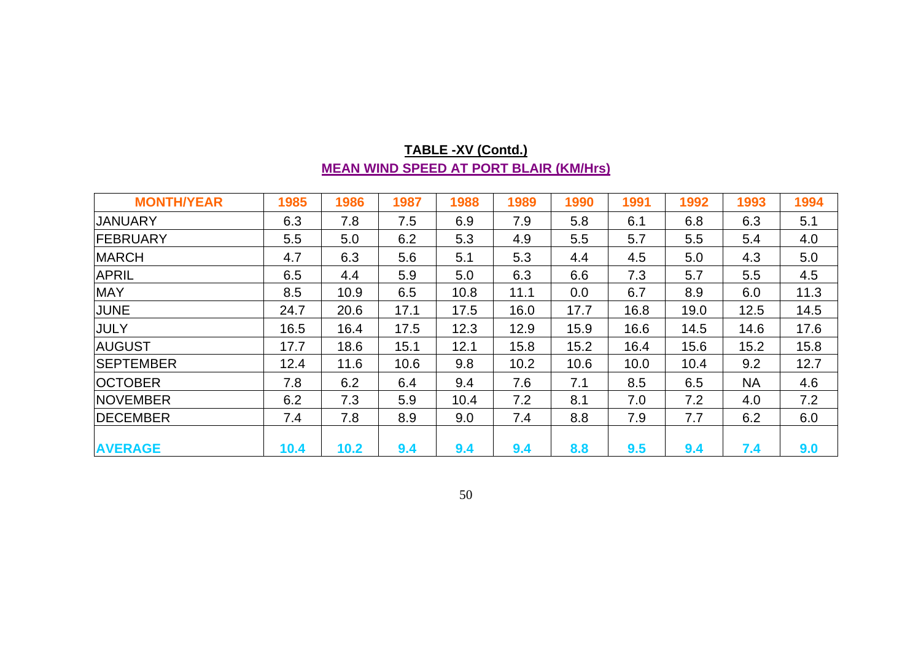## **TABLE -XV (Contd.) MEAN WIND SPEED AT PORT BLAIR (KM/Hrs)**

| <b>MONTH/YEAR</b> | 1985 | 1986 | 1987 | 1988 | 1989 | 1990 | 1991 | 1992 | 1993      | 1994 |
|-------------------|------|------|------|------|------|------|------|------|-----------|------|
| <b>JANUARY</b>    | 6.3  | 7.8  | 7.5  | 6.9  | 7.9  | 5.8  | 6.1  | 6.8  | 6.3       | 5.1  |
| FEBRUARY          | 5.5  | 5.0  | 6.2  | 5.3  | 4.9  | 5.5  | 5.7  | 5.5  | 5.4       | 4.0  |
| <b>MARCH</b>      | 4.7  | 6.3  | 5.6  | 5.1  | 5.3  | 4.4  | 4.5  | 5.0  | 4.3       | 5.0  |
| <b>APRIL</b>      | 6.5  | 4.4  | 5.9  | 5.0  | 6.3  | 6.6  | 7.3  | 5.7  | 5.5       | 4.5  |
| <b>MAY</b>        | 8.5  | 10.9 | 6.5  | 10.8 | 11.1 | 0.0  | 6.7  | 8.9  | 6.0       | 11.3 |
| JUNE              | 24.7 | 20.6 | 17.1 | 17.5 | 16.0 | 17.7 | 16.8 | 19.0 | 12.5      | 14.5 |
| JULY              | 16.5 | 16.4 | 17.5 | 12.3 | 12.9 | 15.9 | 16.6 | 14.5 | 14.6      | 17.6 |
| <b>AUGUST</b>     | 17.7 | 18.6 | 15.1 | 12.1 | 15.8 | 15.2 | 16.4 | 15.6 | 15.2      | 15.8 |
| <b>SEPTEMBER</b>  | 12.4 | 11.6 | 10.6 | 9.8  | 10.2 | 10.6 | 10.0 | 10.4 | 9.2       | 12.7 |
| <b>OCTOBER</b>    | 7.8  | 6.2  | 6.4  | 9.4  | 7.6  | 7.1  | 8.5  | 6.5  | <b>NA</b> | 4.6  |
| <b>NOVEMBER</b>   | 6.2  | 7.3  | 5.9  | 10.4 | 7.2  | 8.1  | 7.0  | 7.2  | 4.0       | 7.2  |
| <b>DECEMBER</b>   | 7.4  | 7.8  | 8.9  | 9.0  | 7.4  | 8.8  | 7.9  | 7.7  | 6.2       | 6.0  |
| <b>AVERAGE</b>    | 10.4 | 10.2 | 9.4  | 9.4  | 9.4  | 8.8  | 9.5  | 9.4  | 7.4       | 9.0  |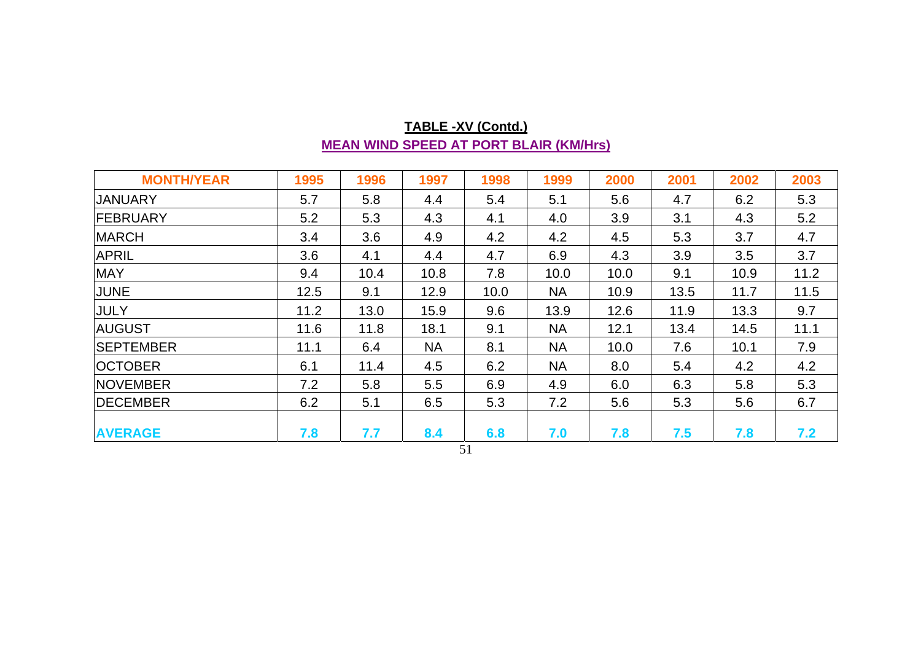## **TABLE -XV (Contd.) MEAN WIND SPEED AT PORT BLAIR (KM/Hrs)**

| <b>MONTH/YEAR</b> | 1995 | 1996 | 1997      | 1998 | 1999      | 2000 | 2001 | 2002 | 2003 |
|-------------------|------|------|-----------|------|-----------|------|------|------|------|
| <b>JANUARY</b>    | 5.7  | 5.8  | 4.4       | 5.4  | 5.1       | 5.6  | 4.7  | 6.2  | 5.3  |
| <b>FEBRUARY</b>   | 5.2  | 5.3  | 4.3       | 4.1  | 4.0       | 3.9  | 3.1  | 4.3  | 5.2  |
| <b>MARCH</b>      | 3.4  | 3.6  | 4.9       | 4.2  | 4.2       | 4.5  | 5.3  | 3.7  | 4.7  |
| <b>APRIL</b>      | 3.6  | 4.1  | 4.4       | 4.7  | 6.9       | 4.3  | 3.9  | 3.5  | 3.7  |
| <b>MAY</b>        | 9.4  | 10.4 | 10.8      | 7.8  | 10.0      | 10.0 | 9.1  | 10.9 | 11.2 |
| JUNE              | 12.5 | 9.1  | 12.9      | 10.0 | <b>NA</b> | 10.9 | 13.5 | 11.7 | 11.5 |
| JULY              | 11.2 | 13.0 | 15.9      | 9.6  | 13.9      | 12.6 | 11.9 | 13.3 | 9.7  |
| <b>AUGUST</b>     | 11.6 | 11.8 | 18.1      | 9.1  | <b>NA</b> | 12.1 | 13.4 | 14.5 | 11.1 |
| <b>SEPTEMBER</b>  | 11.1 | 6.4  | <b>NA</b> | 8.1  | <b>NA</b> | 10.0 | 7.6  | 10.1 | 7.9  |
| <b>OCTOBER</b>    | 6.1  | 11.4 | 4.5       | 6.2  | <b>NA</b> | 8.0  | 5.4  | 4.2  | 4.2  |
| <b>NOVEMBER</b>   | 7.2  | 5.8  | 5.5       | 6.9  | 4.9       | 6.0  | 6.3  | 5.8  | 5.3  |
| <b>IDECEMBER</b>  | 6.2  | 5.1  | 6.5       | 5.3  | 7.2       | 5.6  | 5.3  | 5.6  | 6.7  |
| <b>AVERAGE</b>    | 7.8  | 7.7  | 8.4       | 6.8  | 7.0       | 7.8  | 7.5  | 7.8  | 7.2  |